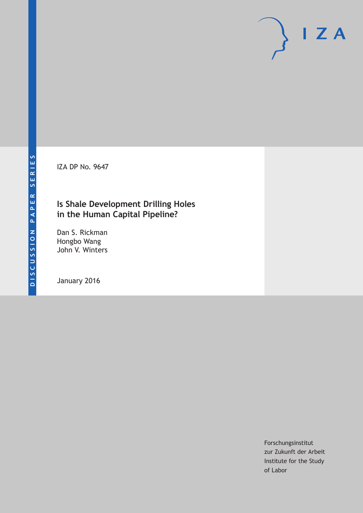IZA DP No. 9647

## **Is Shale Development Drilling Holes in the Human Capital Pipeline?**

Dan S. Rickman Hongbo Wang John V. Winters

January 2016

Forschungsinstitut zur Zukunft der Arbeit Institute for the Study of Labor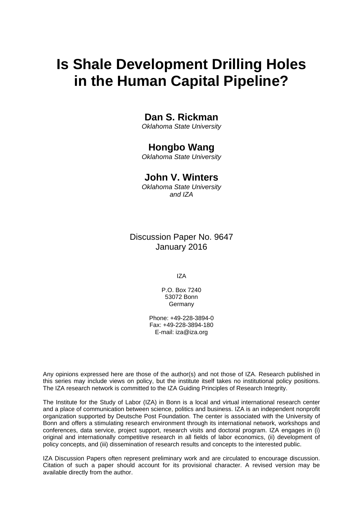# **Is Shale Development Drilling Holes in the Human Capital Pipeline?**

### **Dan S. Rickman**

*Oklahoma State University* 

### **Hongbo Wang**

*Oklahoma State University* 

### **John V. Winters**

*Oklahoma State University and IZA*

Discussion Paper No. 9647 January 2016

IZA

P.O. Box 7240 53072 Bonn Germany

Phone: +49-228-3894-0 Fax: +49-228-3894-180 E-mail: iza@iza.org

Any opinions expressed here are those of the author(s) and not those of IZA. Research published in this series may include views on policy, but the institute itself takes no institutional policy positions. The IZA research network is committed to the IZA Guiding Principles of Research Integrity.

The Institute for the Study of Labor (IZA) in Bonn is a local and virtual international research center and a place of communication between science, politics and business. IZA is an independent nonprofit organization supported by Deutsche Post Foundation. The center is associated with the University of Bonn and offers a stimulating research environment through its international network, workshops and conferences, data service, project support, research visits and doctoral program. IZA engages in (i) original and internationally competitive research in all fields of labor economics, (ii) development of policy concepts, and (iii) dissemination of research results and concepts to the interested public.

IZA Discussion Papers often represent preliminary work and are circulated to encourage discussion. Citation of such a paper should account for its provisional character. A revised version may be available directly from the author.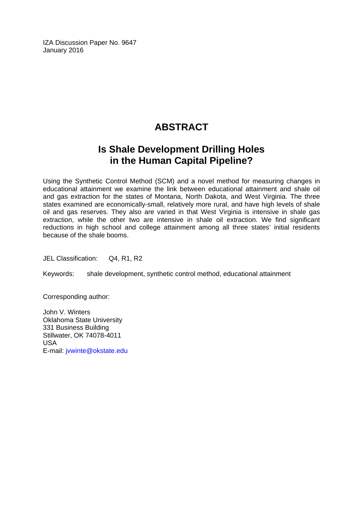IZA Discussion Paper No. 9647 January 2016

# **ABSTRACT**

# **Is Shale Development Drilling Holes in the Human Capital Pipeline?**

Using the Synthetic Control Method (SCM) and a novel method for measuring changes in educational attainment we examine the link between educational attainment and shale oil and gas extraction for the states of Montana, North Dakota, and West Virginia. The three states examined are economically-small, relatively more rural, and have high levels of shale oil and gas reserves. They also are varied in that West Virginia is intensive in shale gas extraction, while the other two are intensive in shale oil extraction. We find significant reductions in high school and college attainment among all three states' initial residents because of the shale booms.

JEL Classification: Q4, R1, R2

Keywords: shale development, synthetic control method, educational attainment

Corresponding author:

John V. Winters Oklahoma State University 331 Business Building Stillwater, OK 74078-4011 USA E-mail: jvwinte@okstate.edu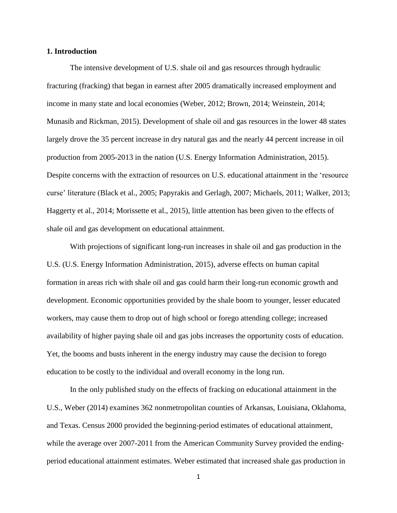#### **1. Introduction**

The intensive development of U.S. shale oil and gas resources through hydraulic fracturing (fracking) that began in earnest after 2005 dramatically increased employment and income in many state and local economies (Weber, 2012; Brown, 2014; Weinstein, 2014; Munasib and Rickman, 2015). Development of shale oil and gas resources in the lower 48 states largely drove the 35 percent increase in dry natural gas and the nearly 44 percent increase in oil production from 2005-2013 in the nation (U.S. Energy Information Administration, 2015). Despite concerns with the extraction of resources on U.S. educational attainment in the 'resource curse' literature (Black et al., 2005; Papyrakis and Gerlagh, 2007; Michaels, 2011; Walker, 2013; Haggerty et al., 2014; Morissette et al., 2015), little attention has been given to the effects of shale oil and gas development on educational attainment.

With projections of significant long-run increases in shale oil and gas production in the U.S. (U.S. Energy Information Administration, 2015), adverse effects on human capital formation in areas rich with shale oil and gas could harm their long-run economic growth and development. Economic opportunities provided by the shale boom to younger, lesser educated workers, may cause them to drop out of high school or forego attending college; increased availability of higher paying shale oil and gas jobs increases the opportunity costs of education. Yet, the booms and busts inherent in the energy industry may cause the decision to forego education to be costly to the individual and overall economy in the long run.

In the only published study on the effects of fracking on educational attainment in the U.S., Weber (2014) examines 362 nonmetropolitan counties of Arkansas, Louisiana, Oklahoma, and Texas. Census 2000 provided the beginning-period estimates of educational attainment, while the average over 2007-2011 from the American Community Survey provided the endingperiod educational attainment estimates. Weber estimated that increased shale gas production in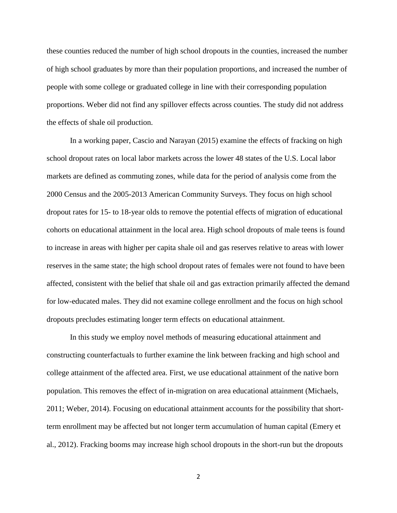these counties reduced the number of high school dropouts in the counties, increased the number of high school graduates by more than their population proportions, and increased the number of people with some college or graduated college in line with their corresponding population proportions. Weber did not find any spillover effects across counties. The study did not address the effects of shale oil production.

In a working paper, Cascio and Narayan (2015) examine the effects of fracking on high school dropout rates on local labor markets across the lower 48 states of the U.S. Local labor markets are defined as commuting zones, while data for the period of analysis come from the 2000 Census and the 2005-2013 American Community Surveys. They focus on high school dropout rates for 15- to 18-year olds to remove the potential effects of migration of educational cohorts on educational attainment in the local area. High school dropouts of male teens is found to increase in areas with higher per capita shale oil and gas reserves relative to areas with lower reserves in the same state; the high school dropout rates of females were not found to have been affected, consistent with the belief that shale oil and gas extraction primarily affected the demand for low-educated males. They did not examine college enrollment and the focus on high school dropouts precludes estimating longer term effects on educational attainment.

In this study we employ novel methods of measuring educational attainment and constructing counterfactuals to further examine the link between fracking and high school and college attainment of the affected area. First, we use educational attainment of the native born population. This removes the effect of in-migration on area educational attainment (Michaels, 2011; Weber, 2014). Focusing on educational attainment accounts for the possibility that shortterm enrollment may be affected but not longer term accumulation of human capital (Emery et al., 2012). Fracking booms may increase high school dropouts in the short-run but the dropouts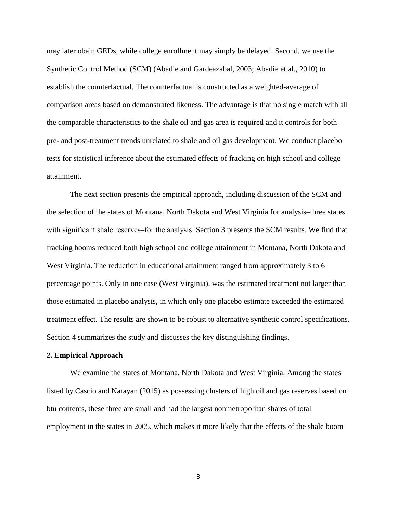may later obain GEDs, while college enrollment may simply be delayed. Second, we use the Synthetic Control Method (SCM) (Abadie and Gardeazabal, 2003; Abadie et al., 2010) to establish the counterfactual. The counterfactual is constructed as a weighted-average of comparison areas based on demonstrated likeness. The advantage is that no single match with all the comparable characteristics to the shale oil and gas area is required and it controls for both pre- and post-treatment trends unrelated to shale and oil gas development. We conduct placebo tests for statistical inference about the estimated effects of fracking on high school and college attainment.

The next section presents the empirical approach, including discussion of the SCM and the selection of the states of Montana, North Dakota and West Virginia for analysis-three states with significant shale reserves–for the analysis. Section 3 presents the SCM results. We find that fracking booms reduced both high school and college attainment in Montana, North Dakota and West Virginia. The reduction in educational attainment ranged from approximately 3 to 6 percentage points. Only in one case (West Virginia), was the estimated treatment not larger than those estimated in placebo analysis, in which only one placebo estimate exceeded the estimated treatment effect. The results are shown to be robust to alternative synthetic control specifications. Section 4 summarizes the study and discusses the key distinguishing findings.

#### **2. Empirical Approach**

We examine the states of Montana, North Dakota and West Virginia. Among the states listed by Cascio and Narayan (2015) as possessing clusters of high oil and gas reserves based on btu contents, these three are small and had the largest nonmetropolitan shares of total employment in the states in 2005, which makes it more likely that the effects of the shale boom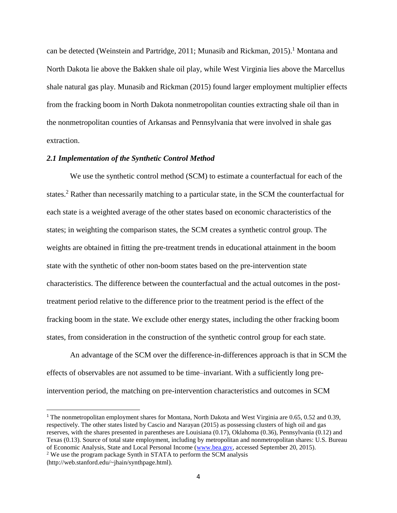can be detected (Weinstein and Partridge, 2011; Munasib and Rickman, 2015). <sup>1</sup> Montana and North Dakota lie above the Bakken shale oil play, while West Virginia lies above the Marcellus shale natural gas play. Munasib and Rickman (2015) found larger employment multiplier effects from the fracking boom in North Dakota nonmetropolitan counties extracting shale oil than in the nonmetropolitan counties of Arkansas and Pennsylvania that were involved in shale gas extraction.

#### *2.1 Implementation of the Synthetic Control Method*

We use the synthetic control method (SCM) to estimate a counterfactual for each of the states.<sup>2</sup> Rather than necessarily matching to a particular state, in the SCM the counterfactual for each state is a weighted average of the other states based on economic characteristics of the states; in weighting the comparison states, the SCM creates a synthetic control group. The weights are obtained in fitting the pre-treatment trends in educational attainment in the boom state with the synthetic of other non-boom states based on the pre-intervention state characteristics. The difference between the counterfactual and the actual outcomes in the posttreatment period relative to the difference prior to the treatment period is the effect of the fracking boom in the state. We exclude other energy states, including the other fracking boom states, from consideration in the construction of the synthetic control group for each state.

An advantage of the SCM over the difference-in-differences approach is that in SCM the effects of observables are not assumed to be time–invariant. With a sufficiently long preintervention period, the matching on pre-intervention characteristics and outcomes in SCM

 $\overline{a}$ 

<sup>1</sup> The nonmetropolitan employment shares for Montana, North Dakota and West Virginia are 0.65, 0.52 and 0.39, respectively. The other states listed by Cascio and Narayan (2015) as possessing clusters of high oil and gas reserves, with the shares presented in parentheses are Louisiana (0.17), Oklahoma (0.36), Pennsylvania (0.12) and Texas (0.13). Source of total state employment, including by metropolitan and nonmetropolitan shares: U.S. Bureau of Economic Analysis, State and Local Personal Income [\(www.bea.gov,](http://www.bea.gov/) accessed September 20, 2015). <sup>2</sup> We use the program package Synth in STATA to perform the SCM analysis

<sup>(</sup>http://web.stanford.edu/~jhain/synthpage.html).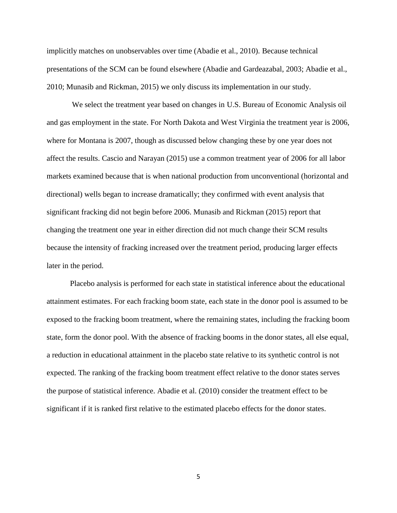implicitly matches on unobservables over time (Abadie et al., 2010). Because technical presentations of the SCM can be found elsewhere (Abadie and Gardeazabal, 2003; Abadie et al., 2010; Munasib and Rickman, 2015) we only discuss its implementation in our study.

We select the treatment year based on changes in U.S. Bureau of Economic Analysis oil and gas employment in the state. For North Dakota and West Virginia the treatment year is 2006, where for Montana is 2007, though as discussed below changing these by one year does not affect the results. Cascio and Narayan (2015) use a common treatment year of 2006 for all labor markets examined because that is when national production from unconventional (horizontal and directional) wells began to increase dramatically; they confirmed with event analysis that significant fracking did not begin before 2006. Munasib and Rickman (2015) report that changing the treatment one year in either direction did not much change their SCM results because the intensity of fracking increased over the treatment period, producing larger effects later in the period.

Placebo analysis is performed for each state in statistical inference about the educational attainment estimates. For each fracking boom state, each state in the donor pool is assumed to be exposed to the fracking boom treatment, where the remaining states, including the fracking boom state, form the donor pool. With the absence of fracking booms in the donor states, all else equal, a reduction in educational attainment in the placebo state relative to its synthetic control is not expected. The ranking of the fracking boom treatment effect relative to the donor states serves the purpose of statistical inference. Abadie et al. (2010) consider the treatment effect to be significant if it is ranked first relative to the estimated placebo effects for the donor states.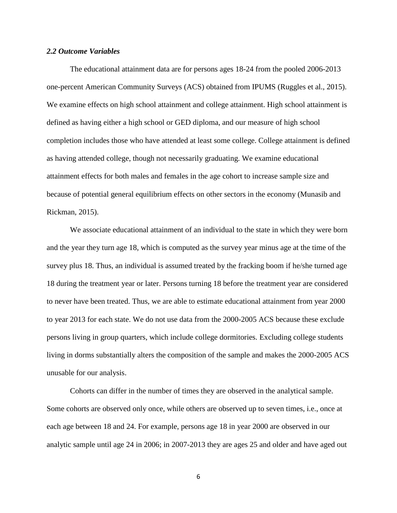#### *2.2 Outcome Variables*

The educational attainment data are for persons ages 18-24 from the pooled 2006-2013 one-percent American Community Surveys (ACS) obtained from IPUMS (Ruggles et al., 2015). We examine effects on high school attainment and college attainment. High school attainment is defined as having either a high school or GED diploma, and our measure of high school completion includes those who have attended at least some college. College attainment is defined as having attended college, though not necessarily graduating. We examine educational attainment effects for both males and females in the age cohort to increase sample size and because of potential general equilibrium effects on other sectors in the economy (Munasib and Rickman, 2015).

We associate educational attainment of an individual to the state in which they were born and the year they turn age 18, which is computed as the survey year minus age at the time of the survey plus 18. Thus, an individual is assumed treated by the fracking boom if he/she turned age 18 during the treatment year or later. Persons turning 18 before the treatment year are considered to never have been treated. Thus, we are able to estimate educational attainment from year 2000 to year 2013 for each state. We do not use data from the 2000-2005 ACS because these exclude persons living in group quarters, which include college dormitories. Excluding college students living in dorms substantially alters the composition of the sample and makes the 2000-2005 ACS unusable for our analysis.

Cohorts can differ in the number of times they are observed in the analytical sample. Some cohorts are observed only once, while others are observed up to seven times, i.e., once at each age between 18 and 24. For example, persons age 18 in year 2000 are observed in our analytic sample until age 24 in 2006; in 2007-2013 they are ages 25 and older and have aged out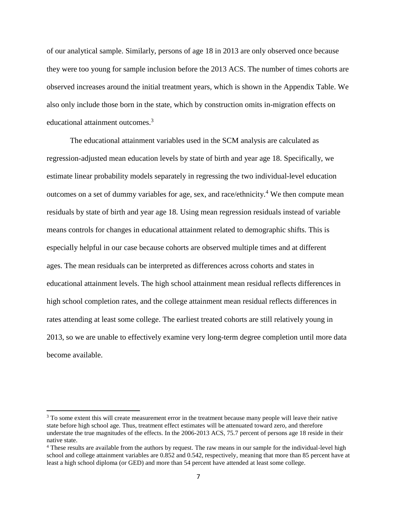of our analytical sample. Similarly, persons of age 18 in 2013 are only observed once because they were too young for sample inclusion before the 2013 ACS. The number of times cohorts are observed increases around the initial treatment years, which is shown in the Appendix Table. We also only include those born in the state, which by construction omits in-migration effects on educational attainment outcomes.<sup>3</sup>

The educational attainment variables used in the SCM analysis are calculated as regression-adjusted mean education levels by state of birth and year age 18. Specifically, we estimate linear probability models separately in regressing the two individual-level education outcomes on a set of dummy variables for age, sex, and race/ethnicity.<sup>4</sup> We then compute mean residuals by state of birth and year age 18. Using mean regression residuals instead of variable means controls for changes in educational attainment related to demographic shifts. This is especially helpful in our case because cohorts are observed multiple times and at different ages. The mean residuals can be interpreted as differences across cohorts and states in educational attainment levels. The high school attainment mean residual reflects differences in high school completion rates, and the college attainment mean residual reflects differences in rates attending at least some college. The earliest treated cohorts are still relatively young in 2013, so we are unable to effectively examine very long-term degree completion until more data become available.

 $\overline{\phantom{a}}$ 

<sup>&</sup>lt;sup>3</sup> To some extent this will create measurement error in the treatment because many people will leave their native state before high school age. Thus, treatment effect estimates will be attenuated toward zero, and therefore understate the true magnitudes of the effects. In the 2006-2013 ACS, 75.7 percent of persons age 18 reside in their native state.

<sup>4</sup> These results are available from the authors by request. The raw means in our sample for the individual-level high school and college attainment variables are 0.852 and 0.542, respectively, meaning that more than 85 percent have at least a high school diploma (or GED) and more than 54 percent have attended at least some college.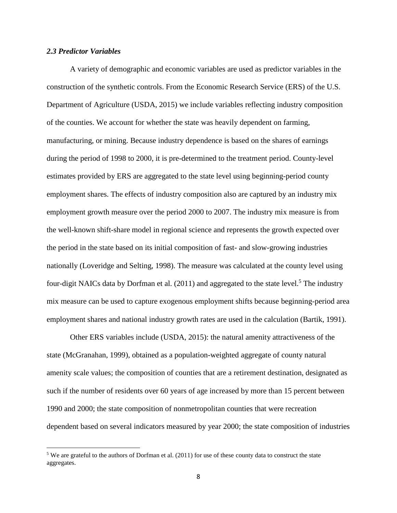#### *2.3 Predictor Variables*

 $\overline{\phantom{a}}$ 

A variety of demographic and economic variables are used as predictor variables in the construction of the synthetic controls. From the Economic Research Service (ERS) of the U.S. Department of Agriculture (USDA, 2015) we include variables reflecting industry composition of the counties. We account for whether the state was heavily dependent on farming, manufacturing, or mining. Because industry dependence is based on the shares of earnings during the period of 1998 to 2000, it is pre-determined to the treatment period. County-level estimates provided by ERS are aggregated to the state level using beginning-period county employment shares. The effects of industry composition also are captured by an industry mix employment growth measure over the period 2000 to 2007. The industry mix measure is from the well-known shift-share model in regional science and represents the growth expected over the period in the state based on its initial composition of fast- and slow-growing industries nationally (Loveridge and Selting, 1998). The measure was calculated at the county level using four-digit NAICs data by Dorfman et al.  $(2011)$  and aggregated to the state level.<sup>5</sup> The industry mix measure can be used to capture exogenous employment shifts because beginning-period area employment shares and national industry growth rates are used in the calculation (Bartik, 1991).

Other ERS variables include (USDA, 2015): the natural amenity attractiveness of the state (McGranahan, 1999), obtained as a population-weighted aggregate of county natural amenity scale values; the composition of counties that are a retirement destination, designated as such if the number of residents over 60 years of age increased by more than 15 percent between 1990 and 2000; the state composition of nonmetropolitan counties that were recreation dependent based on several indicators measured by year 2000; the state composition of industries

<sup>5</sup> We are grateful to the authors of Dorfman et al. (2011) for use of these county data to construct the state aggregates.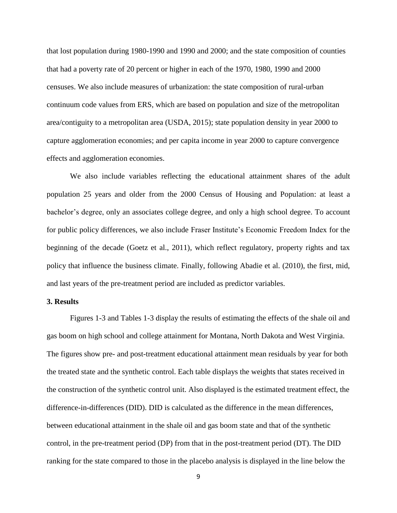that lost population during 1980-1990 and 1990 and 2000; and the state composition of counties that had a poverty rate of 20 percent or higher in each of the 1970, 1980, 1990 and 2000 censuses. We also include measures of urbanization: the state composition of rural-urban continuum code values from ERS, which are based on population and size of the metropolitan area/contiguity to a metropolitan area (USDA, 2015); state population density in year 2000 to capture agglomeration economies; and per capita income in year 2000 to capture convergence effects and agglomeration economies.

We also include variables reflecting the educational attainment shares of the adult population 25 years and older from the 2000 Census of Housing and Population: at least a bachelor's degree, only an associates college degree, and only a high school degree. To account for public policy differences, we also include Fraser Institute's Economic Freedom Index for the beginning of the decade (Goetz et al., 2011), which reflect regulatory, property rights and tax policy that influence the business climate. Finally, following Abadie et al. (2010), the first, mid, and last years of the pre-treatment period are included as predictor variables.

#### **3. Results**

Figures 1-3 and Tables 1-3 display the results of estimating the effects of the shale oil and gas boom on high school and college attainment for Montana, North Dakota and West Virginia. The figures show pre- and post-treatment educational attainment mean residuals by year for both the treated state and the synthetic control. Each table displays the weights that states received in the construction of the synthetic control unit. Also displayed is the estimated treatment effect, the difference-in-differences (DID). DID is calculated as the difference in the mean differences, between educational attainment in the shale oil and gas boom state and that of the synthetic control, in the pre-treatment period (DP) from that in the post-treatment period (DT). The DID ranking for the state compared to those in the placebo analysis is displayed in the line below the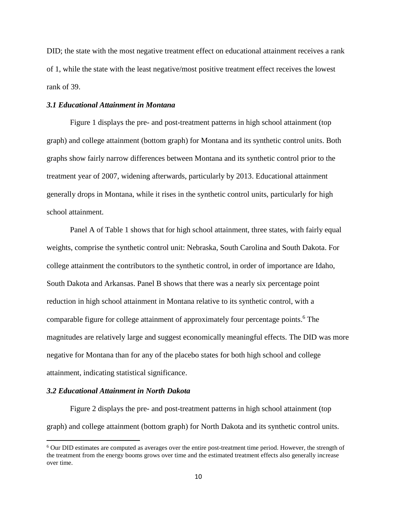DID; the state with the most negative treatment effect on educational attainment receives a rank of 1, while the state with the least negative/most positive treatment effect receives the lowest rank of 39.

#### *3.1 Educational Attainment in Montana*

Figure 1 displays the pre- and post-treatment patterns in high school attainment (top graph) and college attainment (bottom graph) for Montana and its synthetic control units. Both graphs show fairly narrow differences between Montana and its synthetic control prior to the treatment year of 2007, widening afterwards, particularly by 2013. Educational attainment generally drops in Montana, while it rises in the synthetic control units, particularly for high school attainment.

Panel A of Table 1 shows that for high school attainment, three states, with fairly equal weights, comprise the synthetic control unit: Nebraska, South Carolina and South Dakota. For college attainment the contributors to the synthetic control, in order of importance are Idaho, South Dakota and Arkansas. Panel B shows that there was a nearly six percentage point reduction in high school attainment in Montana relative to its synthetic control, with a comparable figure for college attainment of approximately four percentage points. <sup>6</sup> The magnitudes are relatively large and suggest economically meaningful effects. The DID was more negative for Montana than for any of the placebo states for both high school and college attainment, indicating statistical significance.

#### *3.2 Educational Attainment in North Dakota*

 $\overline{\phantom{a}}$ 

Figure 2 displays the pre- and post-treatment patterns in high school attainment (top graph) and college attainment (bottom graph) for North Dakota and its synthetic control units.

<sup>6</sup> Our DID estimates are computed as averages over the entire post-treatment time period. However, the strength of the treatment from the energy booms grows over time and the estimated treatment effects also generally increase over time.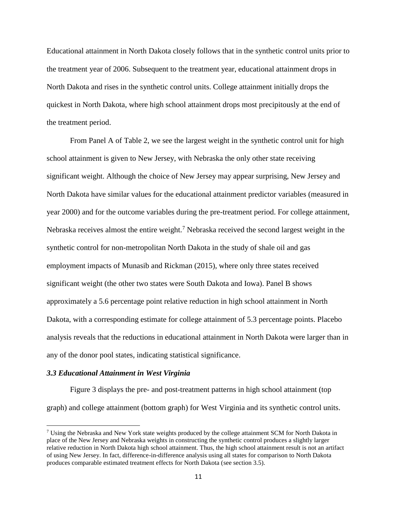Educational attainment in North Dakota closely follows that in the synthetic control units prior to the treatment year of 2006. Subsequent to the treatment year, educational attainment drops in North Dakota and rises in the synthetic control units. College attainment initially drops the quickest in North Dakota, where high school attainment drops most precipitously at the end of the treatment period.

From Panel A of Table 2, we see the largest weight in the synthetic control unit for high school attainment is given to New Jersey, with Nebraska the only other state receiving significant weight. Although the choice of New Jersey may appear surprising, New Jersey and North Dakota have similar values for the educational attainment predictor variables (measured in year 2000) and for the outcome variables during the pre-treatment period. For college attainment, Nebraska receives almost the entire weight.<sup>7</sup> Nebraska received the second largest weight in the synthetic control for non-metropolitan North Dakota in the study of shale oil and gas employment impacts of Munasib and Rickman (2015), where only three states received significant weight (the other two states were South Dakota and Iowa). Panel B shows approximately a 5.6 percentage point relative reduction in high school attainment in North Dakota, with a corresponding estimate for college attainment of 5.3 percentage points. Placebo analysis reveals that the reductions in educational attainment in North Dakota were larger than in any of the donor pool states, indicating statistical significance.

#### *3.3 Educational Attainment in West Virginia*

 $\overline{a}$ 

Figure 3 displays the pre- and post-treatment patterns in high school attainment (top graph) and college attainment (bottom graph) for West Virginia and its synthetic control units.

<sup>&</sup>lt;sup>7</sup> Using the Nebraska and New York state weights produced by the college attainment SCM for North Dakota in place of the New Jersey and Nebraska weights in constructing the synthetic control produces a slightly larger relative reduction in North Dakota high school attainment. Thus, the high school attainment result is not an artifact of using New Jersey. In fact, difference-in-difference analysis using all states for comparison to North Dakota produces comparable estimated treatment effects for North Dakota (see section 3.5).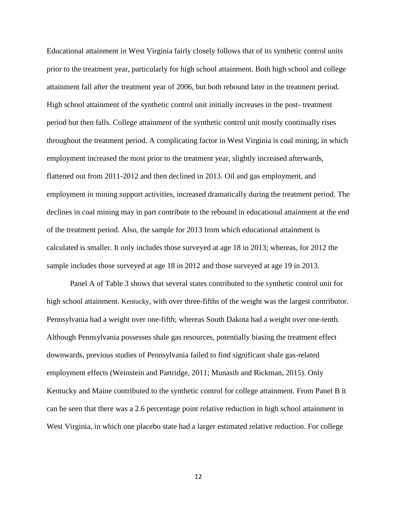Educational attainment in West Virginia fairly closely follows that of its synthetic control units prior to the treatment year, particularly for high school attainment. Both high school and college attainment fall after the treatment year of 2006, but both rebound later in the treatment period. High school attainment of the synthetic control unit initially increases in the post- treatment period but then falls. College attainment of the synthetic control unit mostly continually rises throughout the treatment period. A complicating factor in West Virginia is coal mining, in which employment increased the most prior to the treatment year, slightly increased afterwards, flattened out from 2011-2012 and then declined in 2013. Oil and gas employment, and employment in mining support activities, increased dramatically during the treatment period. The declines in coal mining may in part contribute to the rebound in educational attainment at the end of the treatment period. Also, the sample for 2013 from which educational attainment is calculated is smaller. It only includes those surveyed at age 18 in 2013; whereas, for 2012 the sample includes those surveyed at age 18 in 2012 and those surveyed at age 19 in 2013.

Panel A of Table 3 shows that several states contributed to the synthetic control unit for high school attainment. Kentucky, with over three-fifths of the weight was the largest contributor. Pennsylvania had a weight over one-fifth; whereas South Dakota had a weight over one-tenth. Although Pennsylvania possesses shale gas resources, potentially biasing the treatment effect downwards, previous studies of Pennsylvania failed to find significant shale gas-related employment effects (Weinstein and Partridge, 2011; Munasib and Rickman, 2015). Only Kentucky and Maine contributed to the synthetic control for college attainment. From Panel B it can be seen that there was a 2.6 percentage point relative reduction in high school attainment in West Virginia, in which one placebo state had a larger estimated relative reduction. For college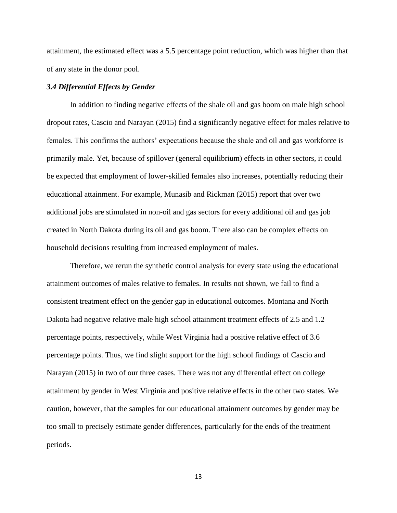attainment, the estimated effect was a 5.5 percentage point reduction, which was higher than that of any state in the donor pool.

#### *3.4 Differential Effects by Gender*

In addition to finding negative effects of the shale oil and gas boom on male high school dropout rates, Cascio and Narayan (2015) find a significantly negative effect for males relative to females. This confirms the authors' expectations because the shale and oil and gas workforce is primarily male. Yet, because of spillover (general equilibrium) effects in other sectors, it could be expected that employment of lower-skilled females also increases, potentially reducing their educational attainment. For example, Munasib and Rickman (2015) report that over two additional jobs are stimulated in non-oil and gas sectors for every additional oil and gas job created in North Dakota during its oil and gas boom. There also can be complex effects on household decisions resulting from increased employment of males.

Therefore, we rerun the synthetic control analysis for every state using the educational attainment outcomes of males relative to females. In results not shown, we fail to find a consistent treatment effect on the gender gap in educational outcomes. Montana and North Dakota had negative relative male high school attainment treatment effects of 2.5 and 1.2 percentage points, respectively, while West Virginia had a positive relative effect of 3.6 percentage points. Thus, we find slight support for the high school findings of Cascio and Narayan (2015) in two of our three cases. There was not any differential effect on college attainment by gender in West Virginia and positive relative effects in the other two states. We caution, however, that the samples for our educational attainment outcomes by gender may be too small to precisely estimate gender differences, particularly for the ends of the treatment periods.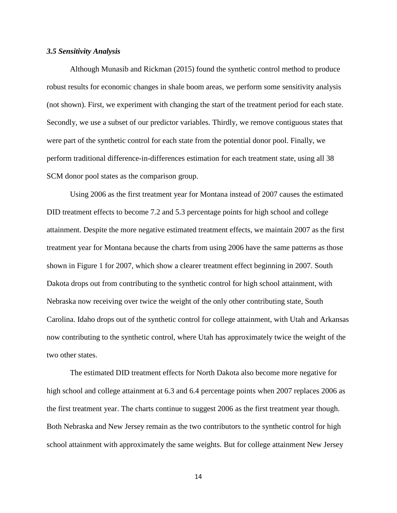#### *3.5 Sensitivity Analysis*

Although Munasib and Rickman (2015) found the synthetic control method to produce robust results for economic changes in shale boom areas, we perform some sensitivity analysis (not shown). First, we experiment with changing the start of the treatment period for each state. Secondly, we use a subset of our predictor variables. Thirdly, we remove contiguous states that were part of the synthetic control for each state from the potential donor pool. Finally, we perform traditional difference-in-differences estimation for each treatment state, using all 38 SCM donor pool states as the comparison group.

Using 2006 as the first treatment year for Montana instead of 2007 causes the estimated DID treatment effects to become 7.2 and 5.3 percentage points for high school and college attainment. Despite the more negative estimated treatment effects, we maintain 2007 as the first treatment year for Montana because the charts from using 2006 have the same patterns as those shown in Figure 1 for 2007, which show a clearer treatment effect beginning in 2007. South Dakota drops out from contributing to the synthetic control for high school attainment, with Nebraska now receiving over twice the weight of the only other contributing state, South Carolina. Idaho drops out of the synthetic control for college attainment, with Utah and Arkansas now contributing to the synthetic control, where Utah has approximately twice the weight of the two other states.

The estimated DID treatment effects for North Dakota also become more negative for high school and college attainment at 6.3 and 6.4 percentage points when 2007 replaces 2006 as the first treatment year. The charts continue to suggest 2006 as the first treatment year though. Both Nebraska and New Jersey remain as the two contributors to the synthetic control for high school attainment with approximately the same weights. But for college attainment New Jersey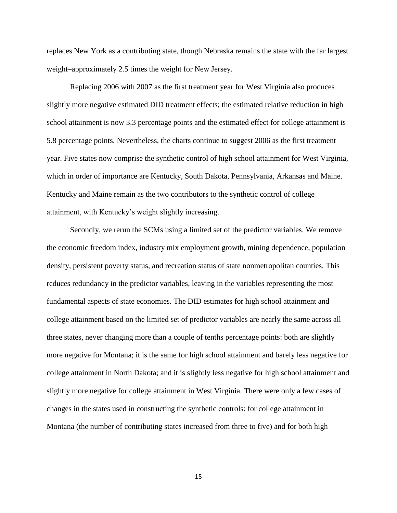replaces New York as a contributing state, though Nebraska remains the state with the far largest weight–approximately 2.5 times the weight for New Jersey.

Replacing 2006 with 2007 as the first treatment year for West Virginia also produces slightly more negative estimated DID treatment effects; the estimated relative reduction in high school attainment is now 3.3 percentage points and the estimated effect for college attainment is 5.8 percentage points. Nevertheless, the charts continue to suggest 2006 as the first treatment year. Five states now comprise the synthetic control of high school attainment for West Virginia, which in order of importance are Kentucky, South Dakota, Pennsylvania, Arkansas and Maine. Kentucky and Maine remain as the two contributors to the synthetic control of college attainment, with Kentucky's weight slightly increasing.

Secondly, we rerun the SCMs using a limited set of the predictor variables. We remove the economic freedom index, industry mix employment growth, mining dependence, population density, persistent poverty status, and recreation status of state nonmetropolitan counties. This reduces redundancy in the predictor variables, leaving in the variables representing the most fundamental aspects of state economies. The DID estimates for high school attainment and college attainment based on the limited set of predictor variables are nearly the same across all three states, never changing more than a couple of tenths percentage points: both are slightly more negative for Montana; it is the same for high school attainment and barely less negative for college attainment in North Dakota; and it is slightly less negative for high school attainment and slightly more negative for college attainment in West Virginia. There were only a few cases of changes in the states used in constructing the synthetic controls: for college attainment in Montana (the number of contributing states increased from three to five) and for both high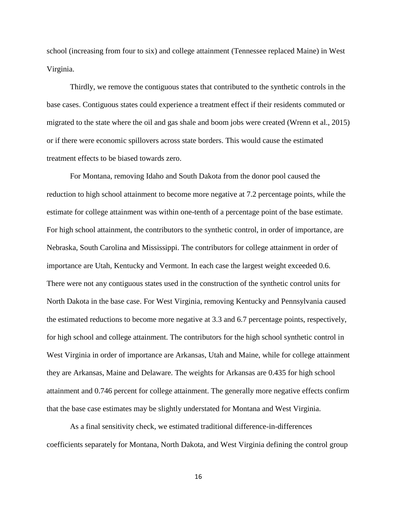school (increasing from four to six) and college attainment (Tennessee replaced Maine) in West Virginia.

Thirdly, we remove the contiguous states that contributed to the synthetic controls in the base cases. Contiguous states could experience a treatment effect if their residents commuted or migrated to the state where the oil and gas shale and boom jobs were created (Wrenn et al., 2015) or if there were economic spillovers across state borders. This would cause the estimated treatment effects to be biased towards zero.

For Montana, removing Idaho and South Dakota from the donor pool caused the reduction to high school attainment to become more negative at 7.2 percentage points, while the estimate for college attainment was within one-tenth of a percentage point of the base estimate. For high school attainment, the contributors to the synthetic control, in order of importance, are Nebraska, South Carolina and Mississippi. The contributors for college attainment in order of importance are Utah, Kentucky and Vermont. In each case the largest weight exceeded 0.6. There were not any contiguous states used in the construction of the synthetic control units for North Dakota in the base case. For West Virginia, removing Kentucky and Pennsylvania caused the estimated reductions to become more negative at 3.3 and 6.7 percentage points, respectively, for high school and college attainment. The contributors for the high school synthetic control in West Virginia in order of importance are Arkansas, Utah and Maine, while for college attainment they are Arkansas, Maine and Delaware. The weights for Arkansas are 0.435 for high school attainment and 0.746 percent for college attainment. The generally more negative effects confirm that the base case estimates may be slightly understated for Montana and West Virginia.

As a final sensitivity check, we estimated traditional difference-in-differences coefficients separately for Montana, North Dakota, and West Virginia defining the control group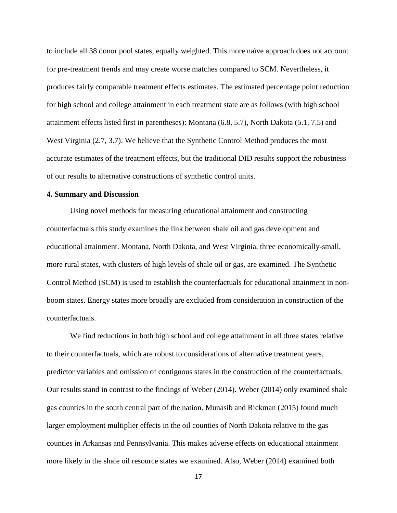to include all 38 donor pool states, equally weighted. This more naïve approach does not account for pre-treatment trends and may create worse matches compared to SCM. Nevertheless, it produces fairly comparable treatment effects estimates. The estimated percentage point reduction for high school and college attainment in each treatment state are as follows (with high school attainment effects listed first in parentheses): Montana (6.8, 5.7), North Dakota (5.1, 7.5) and West Virginia (2.7, 3.7). We believe that the Synthetic Control Method produces the most accurate estimates of the treatment effects, but the traditional DID results support the robustness of our results to alternative constructions of synthetic control units.

#### **4. Summary and Discussion**

Using novel methods for measuring educational attainment and constructing counterfactuals this study examines the link between shale oil and gas development and educational attainment. Montana, North Dakota, and West Virginia, three economically-small, more rural states, with clusters of high levels of shale oil or gas, are examined. The Synthetic Control Method (SCM) is used to establish the counterfactuals for educational attainment in nonboom states. Energy states more broadly are excluded from consideration in construction of the counterfactuals.

We find reductions in both high school and college attainment in all three states relative to their counterfactuals, which are robust to considerations of alternative treatment years, predictor variables and omission of contiguous states in the construction of the counterfactuals. Our results stand in contrast to the findings of Weber (2014). Weber (2014) only examined shale gas counties in the south central part of the nation. Munasib and Rickman (2015) found much larger employment multiplier effects in the oil counties of North Dakota relative to the gas counties in Arkansas and Pennsylvania. This makes adverse effects on educational attainment more likely in the shale oil resource states we examined. Also, Weber (2014) examined both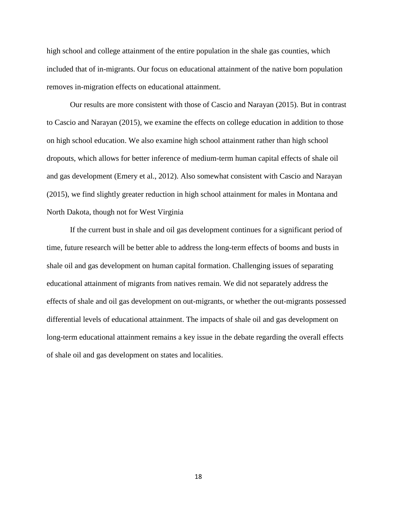high school and college attainment of the entire population in the shale gas counties, which included that of in-migrants. Our focus on educational attainment of the native born population removes in-migration effects on educational attainment.

Our results are more consistent with those of Cascio and Narayan (2015). But in contrast to Cascio and Narayan (2015), we examine the effects on college education in addition to those on high school education. We also examine high school attainment rather than high school dropouts, which allows for better inference of medium-term human capital effects of shale oil and gas development (Emery et al., 2012). Also somewhat consistent with Cascio and Narayan (2015), we find slightly greater reduction in high school attainment for males in Montana and North Dakota, though not for West Virginia

If the current bust in shale and oil gas development continues for a significant period of time, future research will be better able to address the long-term effects of booms and busts in shale oil and gas development on human capital formation. Challenging issues of separating educational attainment of migrants from natives remain. We did not separately address the effects of shale and oil gas development on out-migrants, or whether the out-migrants possessed differential levels of educational attainment. The impacts of shale oil and gas development on long-term educational attainment remains a key issue in the debate regarding the overall effects of shale oil and gas development on states and localities.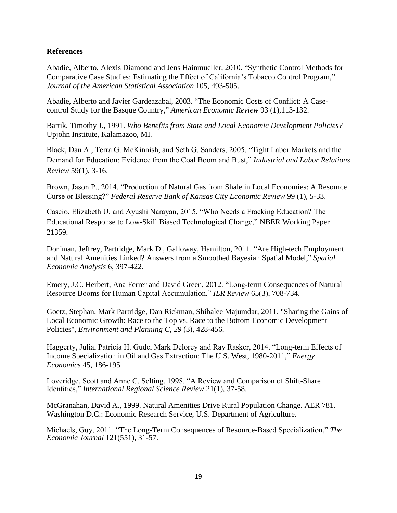#### **References**

Abadie, Alberto, Alexis Diamond and Jens Hainmueller, 2010. "Synthetic Control Methods for Comparative Case Studies: Estimating the Effect of California's Tobacco Control Program," *Journal of the American Statistical Association* 105, 493-505.

Abadie, Alberto and Javier Gardeazabal, 2003. "The Economic Costs of Conflict: A Casecontrol Study for the Basque Country," *American Economic Review* 93 (1),113-132.

Bartik, Timothy J., 1991. *Who Benefits from State and Local Economic Development Policies?* Upjohn Institute, Kalamazoo, MI.

Black, Dan A., Terra G. McKinnish, and Seth G. Sanders, 2005. "Tight Labor Markets and the Demand for Education: Evidence from the Coal Boom and Bust," *Industrial and Labor Relations Review* 59(1), 3-16.

Brown, Jason P., 2014. "Production of Natural Gas from Shale in Local Economies: A Resource Curse or Blessing?" *Federal Reserve Bank of Kansas City Economic Review* 99 (1), 5-33.

Cascio, Elizabeth U. and Ayushi Narayan, 2015. "Who Needs a Fracking Education? The Educational Response to Low-Skill Biased Technological Change," [NBER Working Paper](http://www.nber.org/papers/w21359)  [21359.](http://www.nber.org/papers/w21359)

Dorfman, Jeffrey, Partridge, Mark D., Galloway, Hamilton, 2011. "Are High-tech Employment and Natural Amenities Linked? Answers from a Smoothed Bayesian Spatial Model," *Spatial Economic Analysis* 6, 397-422.

Emery, J.C. Herbert, Ana Ferrer and David Green, 2012. "Long-term Consequences of Natural Resource Booms for Human Capital Accumulation," *ILR Review* 65(3), 708-734.

Goetz, Stephan, Mark Partridge, Dan Rickman, Shibalee Majumdar, 2011. "Sharing the Gains of Local Economic Growth: Race to the Top vs. Race to the Bottom Economic Development Policies", *Environment and Planning C*, *29* (3), 428-456.

Haggerty, Julia, Patricia H. Gude, Mark Delorey and Ray Rasker, 2014. "Long-term Effects of Income Specialization in Oil and Gas Extraction: The U.S. West, 1980-2011," *Energy Economics* 45, 186-195.

Loveridge, Scott and Anne C. Selting, 1998. "A Review and Comparison of Shift-Share Identities," *International Regional Science Review* 21(1), 37-58.

McGranahan, David A., 1999. Natural Amenities Drive Rural Population Change. AER 781. Washington D.C.: Economic Research Service, U.S. Department of Agriculture.

Michaels, Guy, 2011. "The Long-Term Consequences of Resource-Based Specialization," *The Economic Journal* 121(551), 31-57.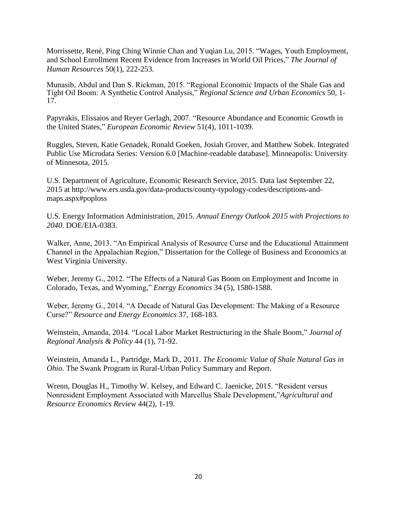Morrissette, René, Ping Ching Winnie Chan and Yuqian Lu, 2015. "Wages, Youth Employment, and School Enrollment Recent Evidence from Increases in World Oil Prices," *The Journal of Human Resources* 50(1), 222-253.

Munasib, Abdul and Dan S. Rickman, 2015. "Regional Economic Impacts of the Shale Gas and Tight Oil Boom: A Synthetic Control Analysis," *Regional Science and Urban Economics* 50, 1- 17.

Papyrakis, Elissaios and Reyer Gerlagh, 2007. "Resource Abundance and Economic Growth in the United States," *European Economic Review* 51(4), 1011-1039.

Ruggles, Steven, Katie Genadek, Ronald Goeken, Josiah Grover, and Matthew Sobek. Integrated Public Use Microdata Series: Version 6.0 [Machine-readable database]. Minneapolis: University of Minnesota, 2015.

U.S. Department of Agriculture, Economic Research Service, 2015. Data last September 22, 2015 at http://www.ers.usda.gov/data-products/county-typology-codes/descriptions-andmaps.aspx#poploss

U.S. Energy Information Administration, 2015. *Annual Energy Outlook 2015 with Projections to 2040*. DOE/EIA-0383.

Walker, Anne, 2013. "An Empirical Analysis of Resource Curse and the Educational Attainment Channel in the Appalachian Region," Dissertation for the College of Business and Economics at West Virginia University.

Weber, Jeremy G., 2012. "The Effects of a Natural Gas Boom on Employment and Income in Colorado, Texas, and Wyoming," *Energy Economics* 34 (5), 1580-1588.

Weber, Jeremy G., 2014. "A Decade of Natural Gas Development: The Making of a Resource Curse?" *Resource and Energy Economics* 37, 168-183.

Weinstein, Amanda, 2014. "Local Labor Market Restructuring in the Shale Boom," *Journal of Regional Analysis & Policy* 44 (1), 71-92.

Weinstein, Amanda L., Partridge, Mark D., 2011. *The Economic Value of Shale Natural Gas in Ohio*. The Swank Program in Rural-Urban Policy Summary and Report.

Wrenn, Douglas H., Timothy W. Kelsey, and Edward C. Jaenicke, 2015. "Resident versus Nonresident Employment Associated with Marcellus Shale Development,"*Agricultural and Resource Economics Review* 44(2), 1-19.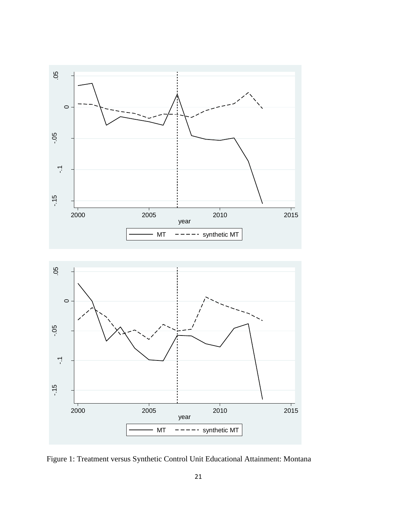



Figure 1: Treatment versus Synthetic Control Unit Educational Attainment: Montana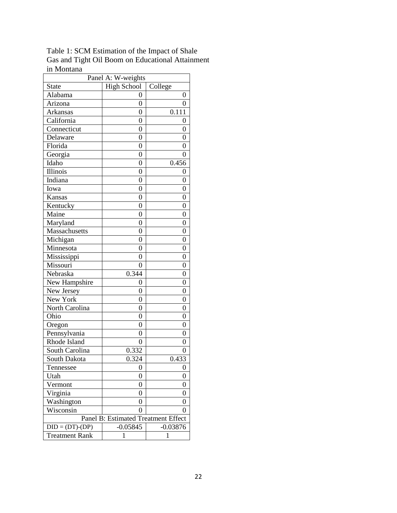Table 1: SCM Estimation of the Impact of Shale Gas and Tight Oil Boom on Educational Attainment in Montana

| Panel A: W-weights                  |                    |                |  |  |  |  |  |
|-------------------------------------|--------------------|----------------|--|--|--|--|--|
| <b>State</b>                        | <b>High School</b> | College        |  |  |  |  |  |
| Alabama                             | 0                  | 0              |  |  |  |  |  |
| Arizona                             | $\overline{0}$     | 0              |  |  |  |  |  |
| Arkansas                            | 0                  | 0.111          |  |  |  |  |  |
| California                          | $\overline{0}$     | 0              |  |  |  |  |  |
| Connecticut                         | $\overline{0}$     | 0              |  |  |  |  |  |
| Delaware                            | $\overline{0}$     | 0              |  |  |  |  |  |
| Florida                             | $\overline{0}$     | 0              |  |  |  |  |  |
| Georgia                             | 0                  | 0              |  |  |  |  |  |
| Idaho                               | $\overline{0}$     | 0.456          |  |  |  |  |  |
| Illinois                            | $\overline{0}$     | 0              |  |  |  |  |  |
| Indiana                             | $\overline{0}$     | 0              |  |  |  |  |  |
| Iowa                                | $\overline{0}$     | $\overline{0}$ |  |  |  |  |  |
| Kansas                              | $\overline{0}$     | $\overline{0}$ |  |  |  |  |  |
| Kentucky                            | $\overline{0}$     | $\overline{0}$ |  |  |  |  |  |
| Maine                               | $\overline{0}$     | $\overline{0}$ |  |  |  |  |  |
| Maryland                            | 0                  | 0              |  |  |  |  |  |
| Massachusetts                       | $\overline{0}$     | $\overline{0}$ |  |  |  |  |  |
| Michigan                            | 0                  | 0              |  |  |  |  |  |
| Minnesota                           | $\overline{0}$     | $\overline{0}$ |  |  |  |  |  |
| Mississippi                         | $\overline{0}$     | $\overline{0}$ |  |  |  |  |  |
| Missouri                            | 0                  | 0              |  |  |  |  |  |
| Nebraska                            | 0.344              | $\overline{0}$ |  |  |  |  |  |
| New Hampshire                       | 0                  | 0              |  |  |  |  |  |
| New Jersey                          | $\overline{0}$     | $\overline{0}$ |  |  |  |  |  |
| New York                            | $\overline{0}$     | $\overline{0}$ |  |  |  |  |  |
| North Carolina                      | $\overline{0}$     | $\overline{0}$ |  |  |  |  |  |
| Ohio                                | 0                  | 0              |  |  |  |  |  |
| Oregon                              | $\overline{0}$     | $\overline{0}$ |  |  |  |  |  |
| Pennsylvania                        | 0                  | 0              |  |  |  |  |  |
| Rhode Island                        | $\overline{0}$     | $\overline{0}$ |  |  |  |  |  |
| South Carolina                      | 0.332              | 0              |  |  |  |  |  |
| South Dakota                        | 0.324              | 0.433          |  |  |  |  |  |
| Tennessee                           | 0                  | 0              |  |  |  |  |  |
| Utah                                | $\overline{0}$     | $\overline{0}$ |  |  |  |  |  |
| Vermont                             | $\overline{0}$     | $\overline{0}$ |  |  |  |  |  |
| Virginia                            | 0                  | 0              |  |  |  |  |  |
| Washington                          | 0                  | 0              |  |  |  |  |  |
| Wisconsin                           | 0                  | 0              |  |  |  |  |  |
| Panel B: Estimated Treatment Effect |                    |                |  |  |  |  |  |
| $DID = (DT)-(DP)$                   | $-0.05845$         | $-0.03876$     |  |  |  |  |  |
| <b>Treatment Rank</b>               | 1                  | 1              |  |  |  |  |  |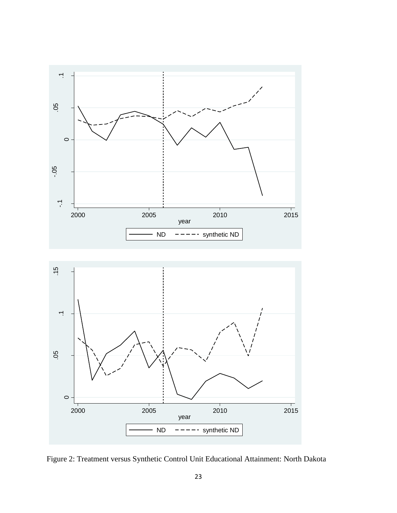



Figure 2: Treatment versus Synthetic Control Unit Educational Attainment: North Dakota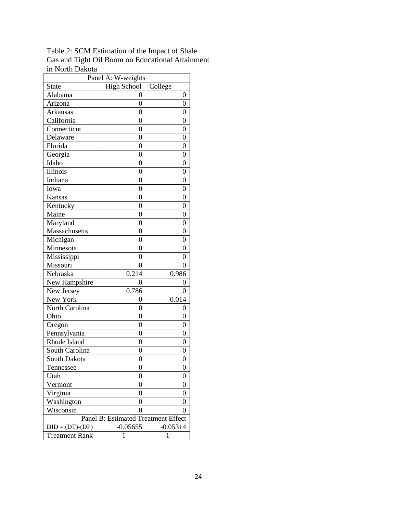Table 2: SCM Estimation of the Impact of Shale Gas and Tight Oil Boom on Educational Attainment in North Dakota

| Panel A: W-weights                  |                    |                |  |  |  |  |  |
|-------------------------------------|--------------------|----------------|--|--|--|--|--|
| State                               | <b>High School</b> | College        |  |  |  |  |  |
| Alabama                             | 0                  | 0              |  |  |  |  |  |
| Arizona                             | $\overline{0}$     | $\overline{0}$ |  |  |  |  |  |
| Arkansas                            | 0                  | 0              |  |  |  |  |  |
| California                          | $\overline{0}$     | $\overline{0}$ |  |  |  |  |  |
| Connecticut                         | $\overline{0}$     | 0              |  |  |  |  |  |
| Delaware                            | $\overline{0}$     | 0              |  |  |  |  |  |
| Florida                             | $\overline{0}$     | $\overline{0}$ |  |  |  |  |  |
| Georgia                             | 0                  | 0              |  |  |  |  |  |
| Idaho                               | $\overline{0}$     | $\overline{0}$ |  |  |  |  |  |
| Illinois                            | $\overline{0}$     | 0              |  |  |  |  |  |
| Indiana                             | $\overline{0}$     | 0              |  |  |  |  |  |
| Iowa                                | $\overline{0}$     | 0              |  |  |  |  |  |
| Kansas                              | $\overline{0}$     | $\overline{0}$ |  |  |  |  |  |
| Kentucky                            | $\overline{0}$     | $\overline{0}$ |  |  |  |  |  |
| Maine                               | $\overline{0}$     | $\overline{0}$ |  |  |  |  |  |
| Maryland                            | 0                  | 0              |  |  |  |  |  |
| Massachusetts                       | $\overline{0}$     |                |  |  |  |  |  |
| Michigan                            | 0                  |                |  |  |  |  |  |
| Minnesota                           | $\overline{0}$     | $\overline{0}$ |  |  |  |  |  |
| Mississippi                         | $\overline{0}$     | $\overline{0}$ |  |  |  |  |  |
| Missouri                            | $\theta$           | 0              |  |  |  |  |  |
| Nebraska                            | 0.214              | 0.986          |  |  |  |  |  |
| New Hampshire                       | 0                  | 0              |  |  |  |  |  |
| New Jersey                          | 0.786              | 0              |  |  |  |  |  |
| New York                            | $\overline{0}$     | 0.014          |  |  |  |  |  |
| North Carolina                      | $\overline{0}$     | 0              |  |  |  |  |  |
| Ohio                                | 0                  | 0              |  |  |  |  |  |
| Oregon                              | $\overline{0}$     | $\overline{0}$ |  |  |  |  |  |
| Pennsylvania                        | 0                  | 0              |  |  |  |  |  |
| Rhode Island                        | $\overline{0}$     | $\overline{0}$ |  |  |  |  |  |
| South Carolina                      | $\overline{0}$     | 0              |  |  |  |  |  |
| South Dakota                        | $\overline{0}$     | 0              |  |  |  |  |  |
| Tennessee                           | 0                  | 0              |  |  |  |  |  |
| Utah                                | $\boldsymbol{0}$   | $\overline{0}$ |  |  |  |  |  |
| Vermont                             | $\overline{0}$     | $\overline{0}$ |  |  |  |  |  |
| Virginia                            | 0                  | 0              |  |  |  |  |  |
| Washington                          | 0                  |                |  |  |  |  |  |
| Wisconsin                           | 0                  | 0              |  |  |  |  |  |
| Panel B: Estimated Treatment Effect |                    |                |  |  |  |  |  |
| $DID = (DT)-(DP)$                   | $-0.05655$         | $-0.05314$     |  |  |  |  |  |
| <b>Treatment Rank</b>               | 1                  | 1              |  |  |  |  |  |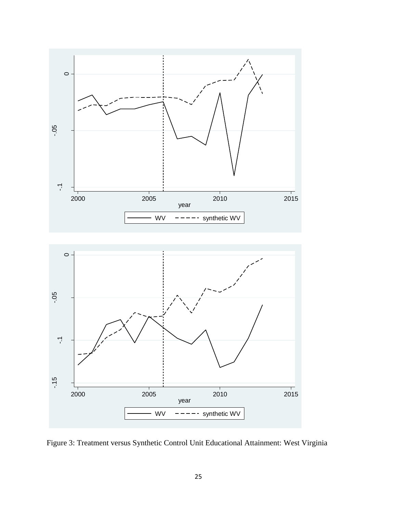

Figure 3: Treatment versus Synthetic Control Unit Educational Attainment: West Virginia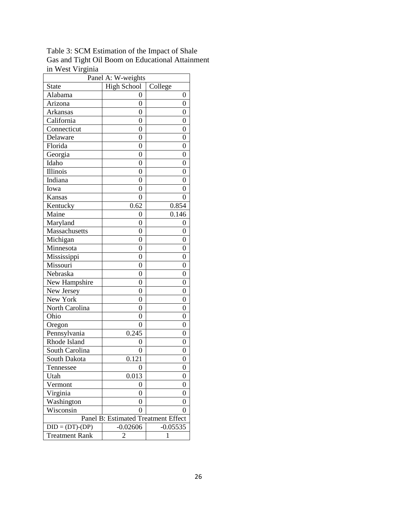Table 3: SCM Estimation of the Impact of Shale Gas and Tight Oil Boom on Educational Attainment in West Virginia

| <b>High School</b><br>State<br>College<br>Alabama<br>0<br>0<br>$\overline{0}$<br>Arizona<br>$\overline{0}$<br>Arkansas<br>0<br>0<br>California<br>$\overline{0}$<br>$\overline{0}$<br>Connecticut<br>$\overline{0}$<br>0<br>Delaware<br>$\overline{0}$<br>0<br>Florida<br>$\overline{0}$<br>$\overline{0}$<br>Georgia<br>0<br>0<br>Idaho<br>$\overline{0}$<br>$\overline{0}$<br>Illinois<br>$\overline{0}$<br>0<br>Indiana<br>$\overline{0}$<br>0<br>Iowa<br>0<br>0<br>Kansas<br>$\overline{0}$<br>0<br>Kentucky<br>0.62<br>0.854<br>0.146<br>Maine<br>$\overline{0}$<br>Maryland<br>0<br>0<br>$\overline{0}$<br>Massachusetts<br>$\overline{0}$<br>Michigan<br>0<br>0<br>Minnesota<br>$\overline{0}$<br>$\overline{0}$<br>$\overline{0}$<br>$\overline{0}$<br>Mississippi<br>Missouri<br>$\overline{0}$<br>0<br>Nebraska<br>$\overline{0}$<br>$\overline{0}$<br>New Hampshire<br>0<br>0<br>New Jersey<br>$\overline{0}$<br>$\overline{0}$<br>New York<br>$\overline{0}$<br>$\overline{0}$<br>North Carolina<br>$\overline{0}$<br>$\overline{0}$<br>Ohio<br>0<br>0<br>$\overline{0}$<br>0<br>Oregon<br>Pennsylvania<br>0.245<br>0<br>Rhode Island<br>$\overline{0}$<br>0<br>South Carolina<br>0<br>0<br>0.121<br>South Dakota<br>0<br>Tennessee<br>0<br>0<br>0.013<br>$\overline{0}$<br>Utah<br>$\overline{0}$<br>$\overline{0}$<br>Vermont<br>Virginia<br>0<br>0<br>Washington<br>0<br>0<br>Wisconsin<br>0<br>0<br>Panel B: Estimated Treatment Effect<br>$DID = (DT)-(DP)$<br>$-0.02606$<br>$-0.05535$<br><b>Treatment Rank</b><br>$\overline{c}$<br>1 | Panel A: W-weights |  |  |  |  |  |  |  |
|----------------------------------------------------------------------------------------------------------------------------------------------------------------------------------------------------------------------------------------------------------------------------------------------------------------------------------------------------------------------------------------------------------------------------------------------------------------------------------------------------------------------------------------------------------------------------------------------------------------------------------------------------------------------------------------------------------------------------------------------------------------------------------------------------------------------------------------------------------------------------------------------------------------------------------------------------------------------------------------------------------------------------------------------------------------------------------------------------------------------------------------------------------------------------------------------------------------------------------------------------------------------------------------------------------------------------------------------------------------------------------------------------------------------------------------------------------------------------------------------------------------------------------------------------------|--------------------|--|--|--|--|--|--|--|
|                                                                                                                                                                                                                                                                                                                                                                                                                                                                                                                                                                                                                                                                                                                                                                                                                                                                                                                                                                                                                                                                                                                                                                                                                                                                                                                                                                                                                                                                                                                                                          |                    |  |  |  |  |  |  |  |
|                                                                                                                                                                                                                                                                                                                                                                                                                                                                                                                                                                                                                                                                                                                                                                                                                                                                                                                                                                                                                                                                                                                                                                                                                                                                                                                                                                                                                                                                                                                                                          |                    |  |  |  |  |  |  |  |
|                                                                                                                                                                                                                                                                                                                                                                                                                                                                                                                                                                                                                                                                                                                                                                                                                                                                                                                                                                                                                                                                                                                                                                                                                                                                                                                                                                                                                                                                                                                                                          |                    |  |  |  |  |  |  |  |
|                                                                                                                                                                                                                                                                                                                                                                                                                                                                                                                                                                                                                                                                                                                                                                                                                                                                                                                                                                                                                                                                                                                                                                                                                                                                                                                                                                                                                                                                                                                                                          |                    |  |  |  |  |  |  |  |
|                                                                                                                                                                                                                                                                                                                                                                                                                                                                                                                                                                                                                                                                                                                                                                                                                                                                                                                                                                                                                                                                                                                                                                                                                                                                                                                                                                                                                                                                                                                                                          |                    |  |  |  |  |  |  |  |
|                                                                                                                                                                                                                                                                                                                                                                                                                                                                                                                                                                                                                                                                                                                                                                                                                                                                                                                                                                                                                                                                                                                                                                                                                                                                                                                                                                                                                                                                                                                                                          |                    |  |  |  |  |  |  |  |
|                                                                                                                                                                                                                                                                                                                                                                                                                                                                                                                                                                                                                                                                                                                                                                                                                                                                                                                                                                                                                                                                                                                                                                                                                                                                                                                                                                                                                                                                                                                                                          |                    |  |  |  |  |  |  |  |
|                                                                                                                                                                                                                                                                                                                                                                                                                                                                                                                                                                                                                                                                                                                                                                                                                                                                                                                                                                                                                                                                                                                                                                                                                                                                                                                                                                                                                                                                                                                                                          |                    |  |  |  |  |  |  |  |
|                                                                                                                                                                                                                                                                                                                                                                                                                                                                                                                                                                                                                                                                                                                                                                                                                                                                                                                                                                                                                                                                                                                                                                                                                                                                                                                                                                                                                                                                                                                                                          |                    |  |  |  |  |  |  |  |
|                                                                                                                                                                                                                                                                                                                                                                                                                                                                                                                                                                                                                                                                                                                                                                                                                                                                                                                                                                                                                                                                                                                                                                                                                                                                                                                                                                                                                                                                                                                                                          |                    |  |  |  |  |  |  |  |
|                                                                                                                                                                                                                                                                                                                                                                                                                                                                                                                                                                                                                                                                                                                                                                                                                                                                                                                                                                                                                                                                                                                                                                                                                                                                                                                                                                                                                                                                                                                                                          |                    |  |  |  |  |  |  |  |
|                                                                                                                                                                                                                                                                                                                                                                                                                                                                                                                                                                                                                                                                                                                                                                                                                                                                                                                                                                                                                                                                                                                                                                                                                                                                                                                                                                                                                                                                                                                                                          |                    |  |  |  |  |  |  |  |
|                                                                                                                                                                                                                                                                                                                                                                                                                                                                                                                                                                                                                                                                                                                                                                                                                                                                                                                                                                                                                                                                                                                                                                                                                                                                                                                                                                                                                                                                                                                                                          |                    |  |  |  |  |  |  |  |
|                                                                                                                                                                                                                                                                                                                                                                                                                                                                                                                                                                                                                                                                                                                                                                                                                                                                                                                                                                                                                                                                                                                                                                                                                                                                                                                                                                                                                                                                                                                                                          |                    |  |  |  |  |  |  |  |
|                                                                                                                                                                                                                                                                                                                                                                                                                                                                                                                                                                                                                                                                                                                                                                                                                                                                                                                                                                                                                                                                                                                                                                                                                                                                                                                                                                                                                                                                                                                                                          |                    |  |  |  |  |  |  |  |
|                                                                                                                                                                                                                                                                                                                                                                                                                                                                                                                                                                                                                                                                                                                                                                                                                                                                                                                                                                                                                                                                                                                                                                                                                                                                                                                                                                                                                                                                                                                                                          |                    |  |  |  |  |  |  |  |
|                                                                                                                                                                                                                                                                                                                                                                                                                                                                                                                                                                                                                                                                                                                                                                                                                                                                                                                                                                                                                                                                                                                                                                                                                                                                                                                                                                                                                                                                                                                                                          |                    |  |  |  |  |  |  |  |
|                                                                                                                                                                                                                                                                                                                                                                                                                                                                                                                                                                                                                                                                                                                                                                                                                                                                                                                                                                                                                                                                                                                                                                                                                                                                                                                                                                                                                                                                                                                                                          |                    |  |  |  |  |  |  |  |
|                                                                                                                                                                                                                                                                                                                                                                                                                                                                                                                                                                                                                                                                                                                                                                                                                                                                                                                                                                                                                                                                                                                                                                                                                                                                                                                                                                                                                                                                                                                                                          |                    |  |  |  |  |  |  |  |
|                                                                                                                                                                                                                                                                                                                                                                                                                                                                                                                                                                                                                                                                                                                                                                                                                                                                                                                                                                                                                                                                                                                                                                                                                                                                                                                                                                                                                                                                                                                                                          |                    |  |  |  |  |  |  |  |
|                                                                                                                                                                                                                                                                                                                                                                                                                                                                                                                                                                                                                                                                                                                                                                                                                                                                                                                                                                                                                                                                                                                                                                                                                                                                                                                                                                                                                                                                                                                                                          |                    |  |  |  |  |  |  |  |
|                                                                                                                                                                                                                                                                                                                                                                                                                                                                                                                                                                                                                                                                                                                                                                                                                                                                                                                                                                                                                                                                                                                                                                                                                                                                                                                                                                                                                                                                                                                                                          |                    |  |  |  |  |  |  |  |
|                                                                                                                                                                                                                                                                                                                                                                                                                                                                                                                                                                                                                                                                                                                                                                                                                                                                                                                                                                                                                                                                                                                                                                                                                                                                                                                                                                                                                                                                                                                                                          |                    |  |  |  |  |  |  |  |
|                                                                                                                                                                                                                                                                                                                                                                                                                                                                                                                                                                                                                                                                                                                                                                                                                                                                                                                                                                                                                                                                                                                                                                                                                                                                                                                                                                                                                                                                                                                                                          |                    |  |  |  |  |  |  |  |
|                                                                                                                                                                                                                                                                                                                                                                                                                                                                                                                                                                                                                                                                                                                                                                                                                                                                                                                                                                                                                                                                                                                                                                                                                                                                                                                                                                                                                                                                                                                                                          |                    |  |  |  |  |  |  |  |
|                                                                                                                                                                                                                                                                                                                                                                                                                                                                                                                                                                                                                                                                                                                                                                                                                                                                                                                                                                                                                                                                                                                                                                                                                                                                                                                                                                                                                                                                                                                                                          |                    |  |  |  |  |  |  |  |
|                                                                                                                                                                                                                                                                                                                                                                                                                                                                                                                                                                                                                                                                                                                                                                                                                                                                                                                                                                                                                                                                                                                                                                                                                                                                                                                                                                                                                                                                                                                                                          |                    |  |  |  |  |  |  |  |
|                                                                                                                                                                                                                                                                                                                                                                                                                                                                                                                                                                                                                                                                                                                                                                                                                                                                                                                                                                                                                                                                                                                                                                                                                                                                                                                                                                                                                                                                                                                                                          |                    |  |  |  |  |  |  |  |
|                                                                                                                                                                                                                                                                                                                                                                                                                                                                                                                                                                                                                                                                                                                                                                                                                                                                                                                                                                                                                                                                                                                                                                                                                                                                                                                                                                                                                                                                                                                                                          |                    |  |  |  |  |  |  |  |
|                                                                                                                                                                                                                                                                                                                                                                                                                                                                                                                                                                                                                                                                                                                                                                                                                                                                                                                                                                                                                                                                                                                                                                                                                                                                                                                                                                                                                                                                                                                                                          |                    |  |  |  |  |  |  |  |
|                                                                                                                                                                                                                                                                                                                                                                                                                                                                                                                                                                                                                                                                                                                                                                                                                                                                                                                                                                                                                                                                                                                                                                                                                                                                                                                                                                                                                                                                                                                                                          |                    |  |  |  |  |  |  |  |
|                                                                                                                                                                                                                                                                                                                                                                                                                                                                                                                                                                                                                                                                                                                                                                                                                                                                                                                                                                                                                                                                                                                                                                                                                                                                                                                                                                                                                                                                                                                                                          |                    |  |  |  |  |  |  |  |
|                                                                                                                                                                                                                                                                                                                                                                                                                                                                                                                                                                                                                                                                                                                                                                                                                                                                                                                                                                                                                                                                                                                                                                                                                                                                                                                                                                                                                                                                                                                                                          |                    |  |  |  |  |  |  |  |
|                                                                                                                                                                                                                                                                                                                                                                                                                                                                                                                                                                                                                                                                                                                                                                                                                                                                                                                                                                                                                                                                                                                                                                                                                                                                                                                                                                                                                                                                                                                                                          |                    |  |  |  |  |  |  |  |
|                                                                                                                                                                                                                                                                                                                                                                                                                                                                                                                                                                                                                                                                                                                                                                                                                                                                                                                                                                                                                                                                                                                                                                                                                                                                                                                                                                                                                                                                                                                                                          |                    |  |  |  |  |  |  |  |
|                                                                                                                                                                                                                                                                                                                                                                                                                                                                                                                                                                                                                                                                                                                                                                                                                                                                                                                                                                                                                                                                                                                                                                                                                                                                                                                                                                                                                                                                                                                                                          |                    |  |  |  |  |  |  |  |
|                                                                                                                                                                                                                                                                                                                                                                                                                                                                                                                                                                                                                                                                                                                                                                                                                                                                                                                                                                                                                                                                                                                                                                                                                                                                                                                                                                                                                                                                                                                                                          |                    |  |  |  |  |  |  |  |
|                                                                                                                                                                                                                                                                                                                                                                                                                                                                                                                                                                                                                                                                                                                                                                                                                                                                                                                                                                                                                                                                                                                                                                                                                                                                                                                                                                                                                                                                                                                                                          |                    |  |  |  |  |  |  |  |
|                                                                                                                                                                                                                                                                                                                                                                                                                                                                                                                                                                                                                                                                                                                                                                                                                                                                                                                                                                                                                                                                                                                                                                                                                                                                                                                                                                                                                                                                                                                                                          |                    |  |  |  |  |  |  |  |
|                                                                                                                                                                                                                                                                                                                                                                                                                                                                                                                                                                                                                                                                                                                                                                                                                                                                                                                                                                                                                                                                                                                                                                                                                                                                                                                                                                                                                                                                                                                                                          |                    |  |  |  |  |  |  |  |
|                                                                                                                                                                                                                                                                                                                                                                                                                                                                                                                                                                                                                                                                                                                                                                                                                                                                                                                                                                                                                                                                                                                                                                                                                                                                                                                                                                                                                                                                                                                                                          |                    |  |  |  |  |  |  |  |
|                                                                                                                                                                                                                                                                                                                                                                                                                                                                                                                                                                                                                                                                                                                                                                                                                                                                                                                                                                                                                                                                                                                                                                                                                                                                                                                                                                                                                                                                                                                                                          |                    |  |  |  |  |  |  |  |